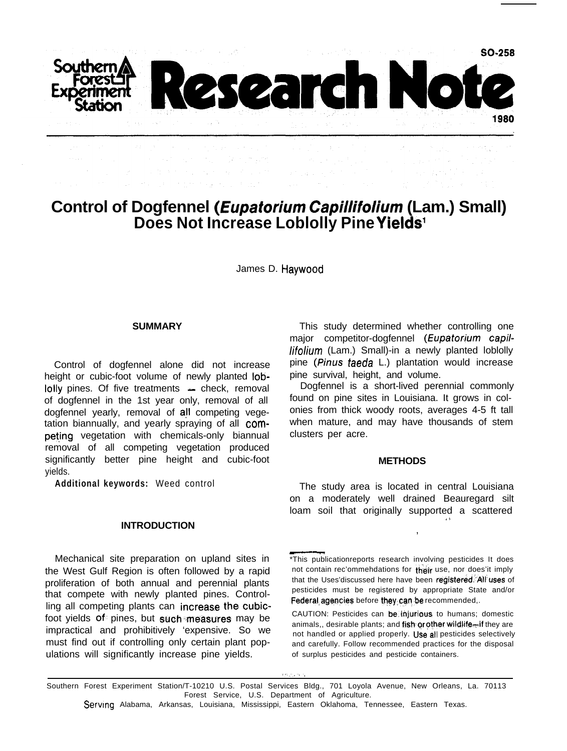

# **Control of Dogfennel (Eupaforium***Capillifolium* **(Lam.) Small) Does Not Increase Loblolly Pine Yields1**

James D. Haywood

#### **SUMMARY**

Control of dogfennel alone did not increase height or cubic-foot volume of newly planted lob- $\text{Io}$ lly pines. Of five treatments  $\text{I}$  check, removal of dogfennel in the 1st year only, removal of all dogfennel yearly, removal of all competing vegetation biannually, and yearly spraying of all competing vegetation with chemicals-only biannual removal of all competing vegetation produced significantly better pine height and cubic-foot yields.

**Additional keywords:** Weed control

#### **INTRODUCTION**

Mechanical site preparation on upland sites in the West Gulf Region is often followed by a rapid proliferation of both annual and perennial plants that compete with newly planted pines. Controlling all competing plants can increase the cubicfoot yields of pines, but such measures may be impractical and prohibitively 'expensive. So we must find out if controlling only certain plant populations will significantly increase pine yields.

This study determined whether controlling one major competitor-dogfennel (Eupatorium capillifolium (Lam.) Small)-in a newly planted loblolly pine (Pinus taeda L.) plantation would increase pine survival, height, and volume.

Dogfennel is a short-lived perennial commonly found on pine sites in Louisiana. It grows in colonies from thick woody roots, averages 4-5 ft tall when mature, and may have thousands of stem clusters per acre.

## **METHODS**

The study area is located in central Louisiana on a moderately well drained Beauregard silt loam soil that originally supported a scattered .,

,

<sup>\*</sup>This publicationreports research involving pesticides It does not contain rec'ommehdations for their use, nor does'it imply that the Uses'discussed here have been registered. All uses of pesticides must be registered by appropriate State and/or Federal, agencies before they can be recommended,.

CAUTION: Pesticides can be,injurious. to humans; domestic animals,, desirable plants; and fish or other wildlife-if they are not handled or applied properly. Use all pesticides selectively and carefully. Follow recommended practices for the disposal of surplus pesticides and pesticide containers.

Southern Forest Experiment Station/T-10210 U.S. Postal Services Bldg., 701 Loyola Avenue, New Orleans, La. 70113 Forest Service, U.S. Department of Agriculture.

Serving Alabama, Arkansas, Louisiana, Mississippi, Eastern Oklahoma, Tennessee, Eastern Texas.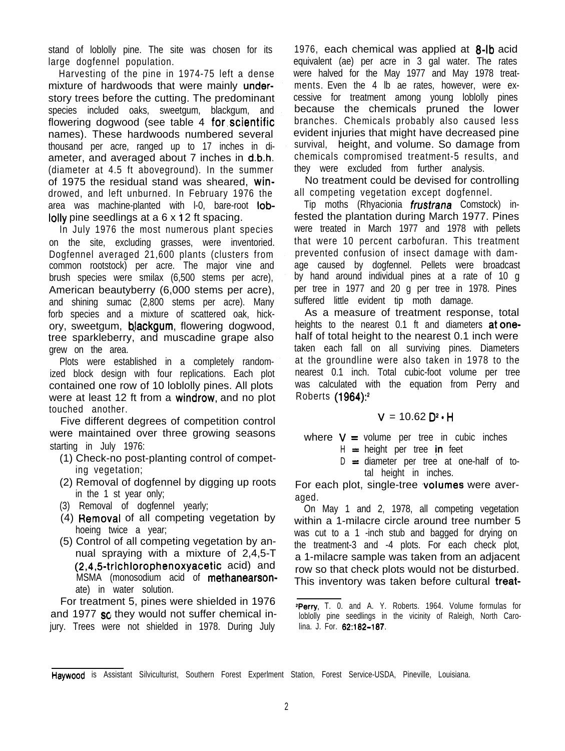stand of loblolly pine. The site was chosen for its large dogfennel population.

Harvesting of the pine in 1974-75 left a dense mixture of hardwoods that were mainly understory trees before the cutting. The predominant species included oaks, sweetgum, blackgum, and flowering dogwood (see table 4 for,scientific names). These hardwoods numbered several thousand per acre, ranged up to 17 inches in diameter, and averaged about 7 inches in d.b.h. (diameter at 4.5 ft aboveground). In the summer of 1975 the residual stand was sheared, windrowed, and left unburned. In February 1976 the area was machine-planted with I-0, bare-root loblolly pine seedlings at a 6 x i 2 ft spacing.

In July 1976 the most numerous plant species on the site, excluding grasses, were inventoried. Dogfennel averaged 21,600 plants (clusters from common rootstock) per acre. The major vine and brush species were smilax (6,500 stems per acre), American beautyberry (6,000 stems per acre), and shining sumac (2,800 stems per acre). Many forb species and a mixture of scattered oak, hickory, sweetgum, **blackgum**, flowering dogwood, tree sparkleberry, and muscadine grape also grew on the area.

Plots were established in a completely randomized block design with four replications. Each plot contained one row of 10 loblolly pines. All plots were at least 12 ft from a windrow, and no plot touched another.

Five different degrees of competition control were maintained over three growing seasons starting in July 1976:

- (1) Check-no post-planting control of competing vegetation;
- (2) Removal of dogfennel by digging up roots in the 1 st year only;
- (3) Removal of dogfennel yearly;
- (4) Hemoval of all competing vegetation by hoeing twice a year;
- (5) Control of all competing vegetation by annual spraying with a mixture of 2,4,5-T  $(2,4,5\text{-}trichlorophenoxyacetic acid)$  and MSMA (monosodium acid of methanearsonate) in water solution.

For treatment 5, pines were shielded in 1976 and 1977 so they would not suffer chemical injury. Trees were not shielded in 1978. During July 1976, each chemical was applied at 8-Ib acid equivalent (ae) per acre in 3 gal water. The rates were halved for the May 1977 and May 1978 treatments. Even the 4 lb ae rates, however, were excessive for treatment among young loblolly pines because the chemicals pruned the lower branches. Chemicals probably also caused less evident injuries that might have decreased pine survival, height, and volume. So damage from chemicals compromised treatment-5 results, and they were excluded from further analysis.

No treatment could be devised for controlling all competing vegetation except dogfennel.

Tip moths (Rhyacionia *frustrana* Comstock) infested the plantation during March 1977. Pines were treated in March 1977 and 1978 with pellets that were 10 percent carbofuran. This treatment prevented confusion of insect damage with damage caused by dogfennel. Pellets were broadcast by hand around individual pines at a rate of 10 g per tree in 1977 and 20 g per tree in 1978. Pines suffered little evident tip moth damage.

As a measure of treatment response, total heights to the nearest 0.1 ft and diameters at onehalf of total height to the nearest 0.1 inch were taken each fall on all surviving pines. Diameters at the groundline were also taken in 1978 to the nearest 0.1 inch. Total cubic-foot volume per tree was calculated with the equation from Perry and Roberts (1964)?

$$
V = 10.62 \, D^2 \cdot H
$$

where  $V =$  volume per tree in cubic inches H = height per tree in feet

 $D =$  diameter per tree at one-half of total height in inches.

For each plot, single-tree volumes were averaged.

On May 1 and 2, 1978, all competing vegetation within a 1-milacre circle around tree number 5 was cut to a 1 -inch stub and bagged for drying on the treatment-3 and -4 plots. For each check plot, a 1-milacre sample was taken from an adjacent row so that check plots would not be disturbed. This inventory was taken before cultural treat-

<sup>&</sup>lt;sup>2</sup>Perry, T. 0. and A. Y. Roberts. 1964. Volume formulas for loblolly pine seedlings in the vicinity of Raleigh, North Carolina. J. For. 62:182-187.

Haywood is Assistant Silviculturist, Southern Forest Experlment Station, Forest Service-USDA, Pineville, Louisiana.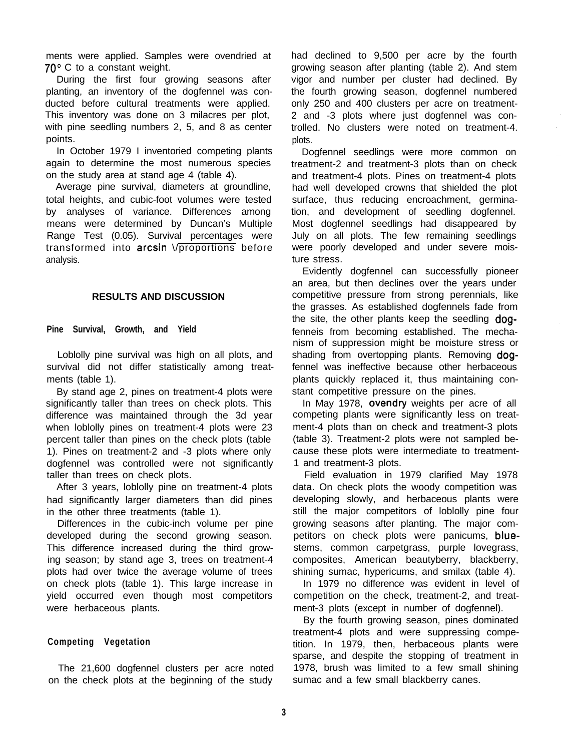ments were applied. Samples were ovendried at  $70^{\circ}$  C to a constant weight.

During the first four growing seasons after planting, an inventory of the dogfennel was conducted before cultural treatments were applied. This inventory was done on 3 milacres per plot, with pine seedling numbers 2, 5, and 8 as center points.

In October 1979 I inventoried competing plants again to determine the most numerous species on the study area at stand age 4 (table 4).

Average pine survival, diameters at groundline, total heights, and cubic-foot volumes were tested by analyses of variance. Differences among means were determined by Duncan's Multiple Range Test (0.05). Survival percentages were transformed into arcsin \/proportions before analysis.

## **RESULTS AND DISCUSSION**

**Pine Survival, Growth, and Yield**

Loblolly pine survival was high on all plots, and survival did not differ statistically among treatments (table 1).

By stand age 2, pines on treatment-4 plots were significantly taller than trees on check plots. This difference was maintained through the 3d year when loblolly pines on treatment-4 plots were 23 percent taller than pines on the check plots (table 1). Pines on treatment-2 and -3 plots where only dogfennel was controlled were not significantly taller than trees on check plots.

After 3 years, loblolly pine on treatment-4 plots had significantly larger diameters than did pines in the other three treatments (table 1).

Differences in the cubic-inch volume per pine developed during the second growing season. This difference increased during the third growing season; by stand age 3, trees on treatment-4 plots had over twice the average volume of trees on check plots (table 1). This large increase in yield occurred even though most competitors were herbaceous plants.

## **Competing Vegetation**

The 21,600 dogfennel clusters per acre noted on the check plots at the beginning of the study

had declined to 9,500 per acre by the fourth growing season after planting (table 2). And stem vigor and number per cluster had declined. By the fourth growing season, dogfennel numbered only 250 and 400 clusters per acre on treatment-2 and -3 plots where just dogfennel was controlled. No clusters were noted on treatment-4. plots.

Dogfennel seedlings were more common on treatment-2 and treatment-3 plots than on check and treatment-4 plots. Pines on treatment-4 plots had well developed crowns that shielded the plot surface, thus reducing encroachment, germination, and development of seedling dogfennel. Most dogfennel seedlings had disappeared by July on all plots. The few remaining seedlings were poorly developed and under severe moisture stress.

Evidently dogfennel can successfully pioneer an area, but then declines over the years under competitive pressure from strong perennials, like the grasses. As established dogfennels fade from the site, the other plants keep the seedling dogfenneis from becoming established. The mechanism of suppression might be moisture stress or shading from overtopping plants. Removing dogfennel was ineffective because other herbaceous plants quickly replaced it, thus maintaining constant competitive pressure on the pines.

In May 1978, ovendry weights per acre of all competing plants were significantly less on treatment-4 plots than on check and treatment-3 plots (table 3). Treatment-2 plots were not sampled because these plots were intermediate to treatment-1 and treatment-3 plots.

Field evaluation in 1979 clarified May 1978 data. On check plots the woody competition was developing slowly, and herbaceous plants were still the major competitors of loblolly pine four growing seasons after planting. The major competitors on check plots were panicums, bluestems, common carpetgrass, purple lovegrass, composites, American beautyberry, blackberry, shining sumac, hypericums, and smilax (table 4).

In 1979 no difference was evident in level of competition on the check, treatment-2, and treatment-3 plots (except in number of dogfennel).

By the fourth growing season, pines dominated treatment-4 plots and were suppressing competition. In 1979, then, herbaceous plants were sparse, and despite the stopping of treatment in 1978, brush was limited to a few small shining sumac and a few small blackberry canes.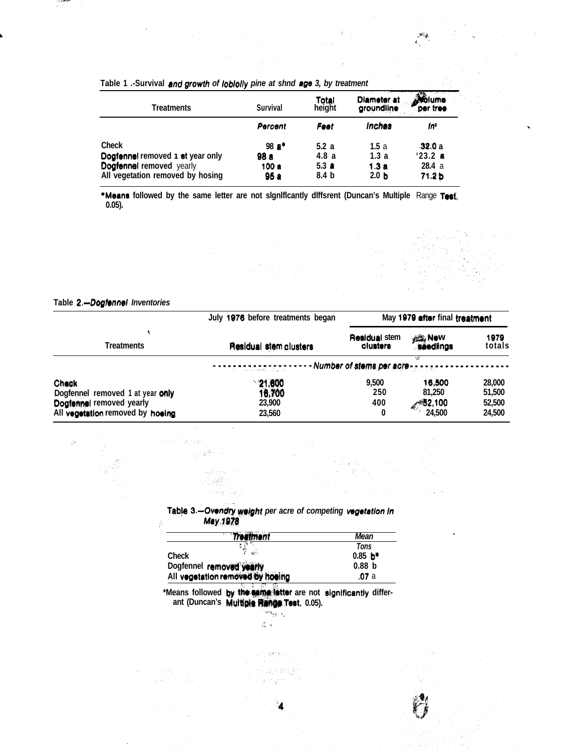| <b>Treatments</b>                | Survival | Total<br>height  | Diameter at<br>groundline | .dolume<br>per tree |
|----------------------------------|----------|------------------|---------------------------|---------------------|
|                                  | Percent  | Feet             | inches                    | In                  |
| Check                            | 98 a*    | 5.2a             | 1.5a                      | 32.0a               |
| Dogfennel removed 1 st year only | 98 a     | 4.8a             | 1.3a                      | $'23.2$ a           |
| <b>Dogfennel removed</b> yearly  | 100a     | 5.3a             | 1.3a                      | 28.4a               |
| All vegetation removed by hosing | 95 a     | 8.4 <sub>b</sub> | 2.0 <sub>b</sub>          | 71.2 <sub>b</sub>   |

 $\mathcal{A}_{\mathcal{M}}$ €., .

## Table 1 .- Survival and growth of lobiolly pine at shnd age 3, by treatment

\*Means followed by the same letter are not significantly diffsrent (Duncan's Multiple Range Test;  $0.05$ ).

## Table 2.-Dogfonnel Inventories

.<br>Services 化合金管理 in Laghter a station in a Patrick

À.

- 1390

|                                                                                                            | July 1976 before treatments began                               | May 1979 after final treatment   |                                       |                                      |
|------------------------------------------------------------------------------------------------------------|-----------------------------------------------------------------|----------------------------------|---------------------------------------|--------------------------------------|
| Treatments                                                                                                 | Residual stem clusters                                          | <b>Residual stem</b><br>clusters | <b>All New</b><br>seedlings           | 1979<br>totals                       |
|                                                                                                            | -------------------Number of stems per acre-------------------- |                                  |                                       |                                      |
| Check<br>Dogfennel removed 1 at year only<br>Doglerinel removed yearly<br>All vegetation removed by hoeing | 21,600<br>16,700<br>23,900<br>23,560                            | 9.500<br>250<br>400<br>0         | 16,500<br>81,250<br>652,100<br>24,500 | 28,000<br>51,500<br>52,500<br>24,500 |

Table 3 .- Ovendry weight per acre of competing vegetation in May 1978

| Treatment                        | Mean                  |
|----------------------------------|-----------------------|
| Ą,                               | Tons                  |
| мè<br>Check                      | $0.85$ b <sup>*</sup> |
| Dogfennel removed yearly         | 0.88 <sub>b</sub>     |
| All vegetation removed by hoeing | .07 a                 |

\*Means followed by the same latter are not significantly differant (Duncan's Multiple Range Test, 0.05).



 $\leq 1/2$  . 动态彩色 u piyeri